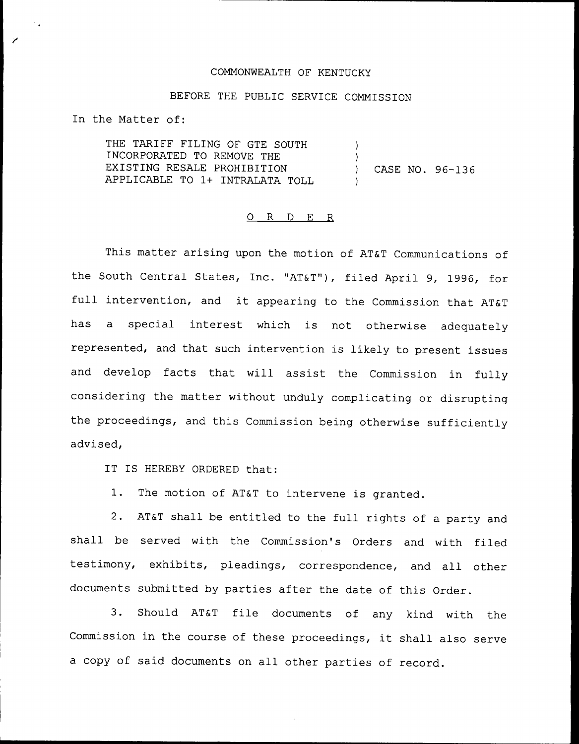## COMMONWEALTH OF KENTUCKY

## BEFORE THE PUBLIC SERVICE COMMISSION

In the Matter of:

THE TARIFF FILING OF GTE SOUTH INCORPORATED TO REMOVE THE EXISTING RESALE PROHIBITION APPLICABLE TO 1+ INTRALATA TOLL ) ) ) CASE NO. 96-136 )

## 0 R <sup>D</sup> E R

This matter arising upon the motion of AT&T Communications of the South Central States, Inc. "AT&T"), filed April 9, 1996, for full intervention, and it appearing to the Commission that AT&T has a special interest which is not otherwise adequately represented, and that such intervention is likely to present issues and develop facts that will assist the Commission in fully considering the matter without unduly complicating or disrupting the proceedings, and this Commission being otherwise sufficiently advised,

IT IS HEREBY ORDERED that:

1. The motion of AT&T to intervene is granted.

2. AT&T shall be entitled to the full rights of <sup>a</sup> party and shall be served with the Commission's Orders and with filed testimony, exhibits, pleadings, correspondence, and all other documents submitted by parties after the date of this Order.

3. Should AT&T file documents of any kind with the Commission in the course of these proceedings, it shall also serve <sup>a</sup> copy of said documents on all other parties of record.